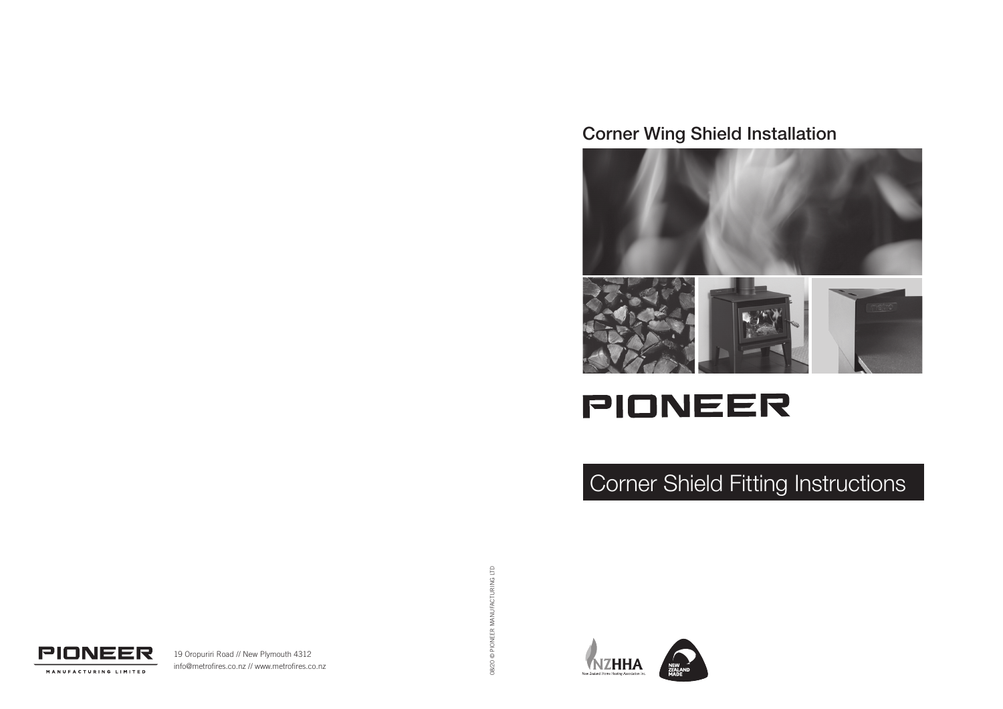### Corner Wing Shield Installation



# **PIONEER**

## Corner Shield Fitting Instructions

08/20 @ PIONEER MANUFACTURING LTD 08/20 © PIONEER MANUFACTURING LTD





19 Oropuriri Road // New Plymouth 4312 info@metrofires.co.nz // www.metrofires.co.nz